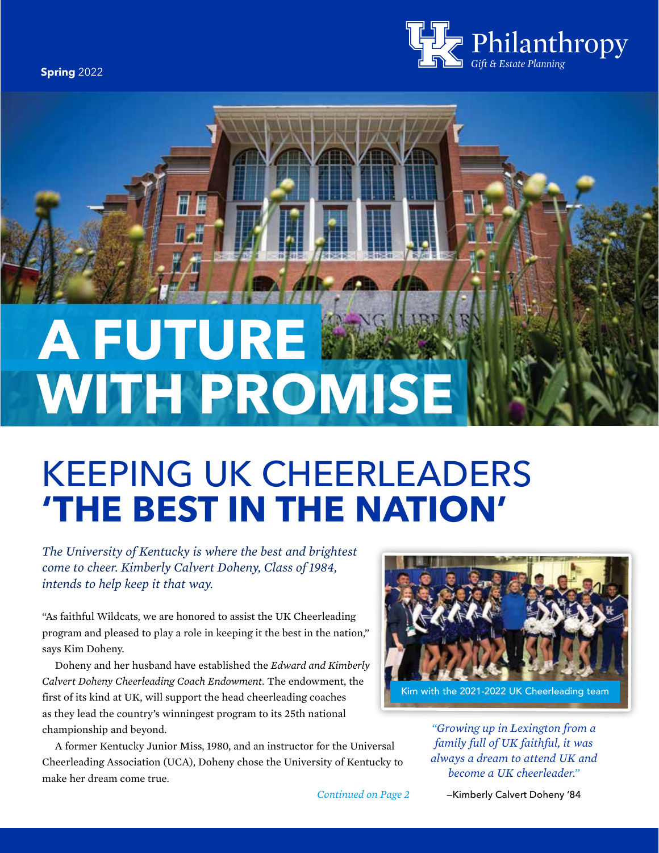**Spring** 2022



# **A FUTURE WITH PROMISE**

# KEEPING UK CHEERLEADERS **'THE BEST IN THE NATION'**

*The University of Kentucky is where the best and brightest come to cheer. Kimberly Calvert Doheny, Class of 1984, intends to help keep it that way.* 

"As faithful Wildcats, we are honored to assist the UK Cheerleading program and pleased to play a role in keeping it the best in the nation," says Kim Doheny.

 Doheny and her husband have established the *Edward and Kimberly Calvert Doheny Cheerleading Coach Endowment.* The endowment, the first of its kind at UK, will support the head cheerleading coaches as they lead the country's winningest program to its 25th national championship and beyond.

 A former Kentucky Junior Miss, 1980, and an instructor for the Universal Cheerleading Association (UCA), Doheny chose the University of Kentucky to make her dream come true.

*Continued on Page 2*



*"Growing up in Lexington from a family full of UK faithful, it was always a dream to attend UK and become a UK cheerleader."*

—Kimberly Calvert Doheny '84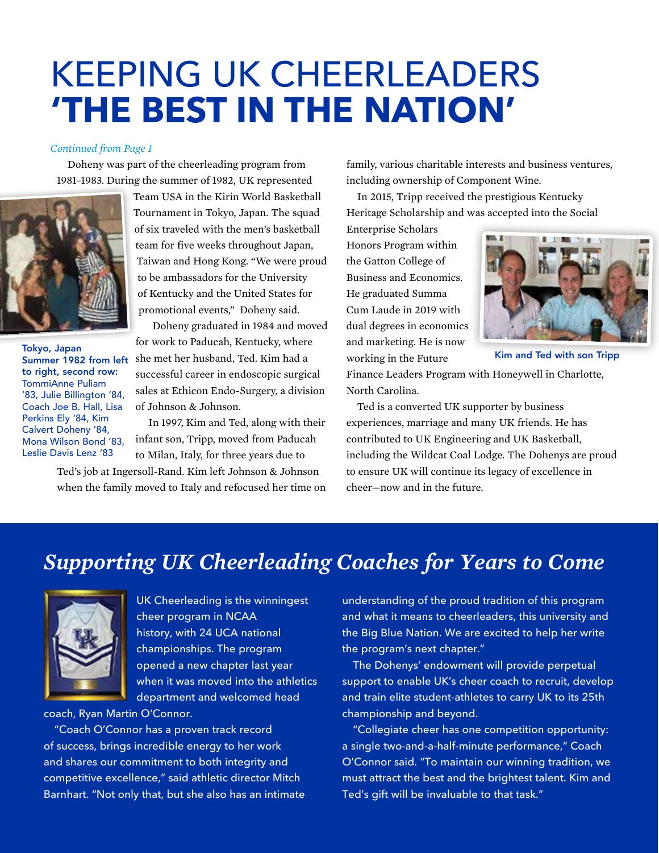## KEEPING UK CHEERLEADERS **'THE BEST IN THE NATION'**

#### *Continued from Page 1*

1981–1983. During the summer of 1982, UK represented including ownership of Component Wine.



Tokyo, Japan to right, second row: TommiAnne Puliam '83, Julie Billington '84, Coach Joe B. Hall, Lisa Perkins Ely '84, Kim Calvert Doheny '84, Mona Wilson Bond '83, Leslie Davis Lenz '83

of six traveled with the men's basketball Enterprise Scholars team for five weeks throughout Japan, Honors Program within Taiwan and Hong Kong. "We were proud the Gatton College of to be ambassadors for the University Business and Economics. of Kentucky and the United States for He graduated Summa promotional events," Doheny said. Cum Laude in 2019 with

Doheny graduated in 1984 and moved dual degrees in economics for work to Paducah, Kentucky, where and marketing. He is now Summer 1982 from left she met her husband, Ted. Kim had a working in the Future successful career in endoscopic surgical Finance Leaders Program with Honeywell in Charlotte, sales at Ethicon Endo-Surgery, a division North Carolina.

when the family moved to Italy and refocused her time on cheer—now and in the future.

Doheny was part of the cheerleading program from family, various charitable interests and business ventures,

Team USA in the Kirin World Basketball In 2015, Tripp received the prestigious Kentucky Tournament in Tokyo, Japan. The squad Heritage Scholarship and was accepted into the Social



Kim and Ted with son Tripp

of Johnson & Johnson. Ted is a converted UK supporter by business In 1997, Kim and Ted, along with their experiences, marriage and many UK friends. He has infant son, Tripp, moved from Paducah contributed to UK Engineering and UK Basketball, to Milan, Italy, for three years due to including the Wildcat Coal Lodge. The Dohenys are proud Ted's job at Ingersoll-Rand. Kim left Johnson & Johnson to ensure UK will continue its legacy of excellence in

### *Supporting UK Cheerleading Coaches for Years to Come*



championships. The program the program's next chapter."

coach, Ryan Martin O'Connor. championship and beyond.

of success, brings incredible energy to her work a single two-and-a-half-minute performance," Coach Barnhart. "Not only that, but she also has an intimate Ted's gift will be invaluable to that task."

UK Cheerleading is the winningest understanding of the proud tradition of this program cheer program in NCAA and what it means to cheerleaders, this university and history, with 24 UCA national the Big Blue Nation. We are excited to help her write

opened a new chapter last year The Dohenys' endowment will provide perpetual when it was moved into the athletics support to enable UK's cheer coach to recruit, develop department and welcomed head and train elite student-athletes to carry UK to its 25th

 "Coach O'Connor has a proven track record "Collegiate cheer has one competition opportunity: and shares our commitment to both integrity and  $O'$ Connor said. "To maintain our winning tradition, we competitive excellence," said athletic director Mitch must attract the best and the brightest talent. Kim and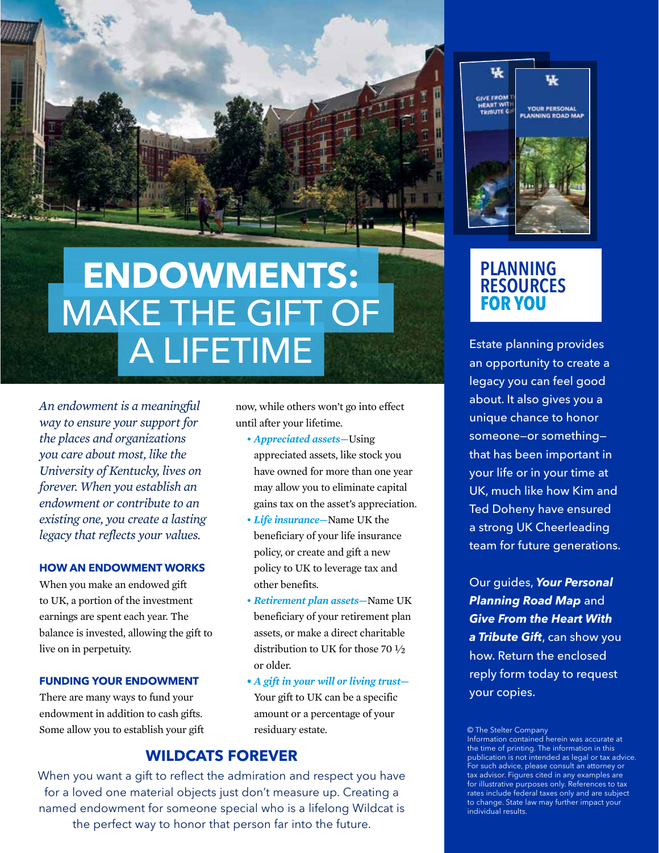

# **ENDOWMENTS:**  MAKE THE GIFT OF A LIFETIME

*An endowment is a meaningful way to ensure your support for the places and organizations you care about most, like the University of Kentucky, lives on forever. When you establish an endowment or contribute to an existing one, you create a lasting legacy that reflects your values.*

#### **HOW AN ENDOWMENT WORKS**

When you make an endowed gift to UK, a portion of the investment earnings are spent each year. The balance is invested, allowing the gift to live on in perpetuity.

#### **FUNDING YOUR ENDOWMENT**

There are many ways to fund your endowment in addition to cash gifts. Some allow you to establish your gift now, while others won't go into effect until after your lifetime.

- *Appreciated assets—*Using appreciated assets, like stock you have owned for more than one year may allow you to eliminate capital gains tax on the asset's appreciation.
- • *Life insurance—*Name UK the beneficiary of your life insurance policy, or create and gift a new policy to UK to leverage tax and other benefits.
- • *Retirement plan assets—*Name UK beneficiary of your retirement plan assets, or make a direct charitable distribution to UK for those 70 1⁄2 or older.
- *A gift in your will or living trust—*  Your gift to UK can be a specific amount or a percentage of your residuary estate.

#### **WILDCATS FOREVER**

When you want a gift to reflect the admiration and respect you have for a loved one material objects just don't measure up. Creating a named endowment for someone special who is a lifelong Wildcat is the perfect way to honor that person far into the future.



### **PLANNING RESOURCES FOR YOU**

Estate planning provides an opportunity to create a legacy you can feel good about. It also gives you a unique chance to honor someone—or something that has been important in your life or in your time at UK, much like how Kim and Ted Doheny have ensured a strong UK Cheerleading team for future generations.

Our guides, *Your Personal Planning Road Map* and *Give From the Heart With a Tribute Gift*, can show you how. Return the enclosed reply form today to request your copies.

© The Stelter Company

Information contained herein was accurate at the time of printing. The information in this publication is not intended as legal or tax advice. For such advice, please consult an attorney or tax advisor. Figures cited in any examples are for illustrative purposes only. References to tax rates include federal taxes only and are subject to change. State law may further impact your individual results.